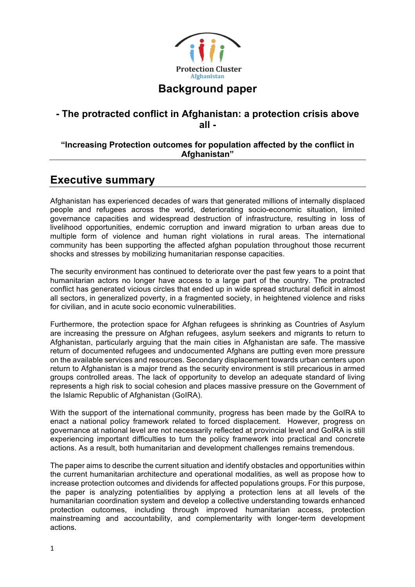

## **Background paper**

## **- The protracted conflict in Afghanistan: a protection crisis above all -**

## **"Increasing Protection outcomes for population affected by the conflict in Afghanistan"**

## **Executive summary**

Afghanistan has experienced decades of wars that generated millions of internally displaced people and refugees across the world, deteriorating socio-economic situation, limited governance capacities and widespread destruction of infrastructure, resulting in loss of livelihood opportunities, endemic corruption and inward migration to urban areas due to multiple form of violence and human right violations in rural areas. The international community has been supporting the affected afghan population throughout those recurrent shocks and stresses by mobilizing humanitarian response capacities.

The security environment has continued to deteriorate over the past few years to a point that humanitarian actors no longer have access to a large part of the country. The protracted conflict has generated vicious circles that ended up in wide spread structural deficit in almost all sectors, in generalized poverty, in a fragmented society, in heightened violence and risks for civilian, and in acute socio economic vulnerabilities.

Furthermore, the protection space for Afghan refugees is shrinking as Countries of Asylum are increasing the pressure on Afghan refugees, asylum seekers and migrants to return to Afghanistan, particularly arguing that the main cities in Afghanistan are safe. The massive return of documented refugees and undocumented Afghans are putting even more pressure on the available services and resources. Secondary displacement towards urban centers upon return to Afghanistan is a major trend as the security environment is still precarious in armed groups controlled areas. The lack of opportunity to develop an adequate standard of living represents a high risk to social cohesion and places massive pressure on the Government of the Islamic Republic of Afghanistan (GoIRA).

With the support of the international community, progress has been made by the GoIRA to enact a national policy framework related to forced displacement. However, progress on governance at national level are not necessarily reflected at provincial level and GoIRA is still experiencing important difficulties to turn the policy framework into practical and concrete actions. As a result, both humanitarian and development challenges remains tremendous.

The paper aims to describe the current situation and identify obstacles and opportunities within the current humanitarian architecture and operational modalities, as well as propose how to increase protection outcomes and dividends for affected populations groups. For this purpose, the paper is analyzing potentialities by applying a protection lens at all levels of the humanitarian coordination system and develop a collective understanding towards enhanced protection outcomes, including through improved humanitarian access, protection mainstreaming and accountability, and complementarity with longer-term development actions.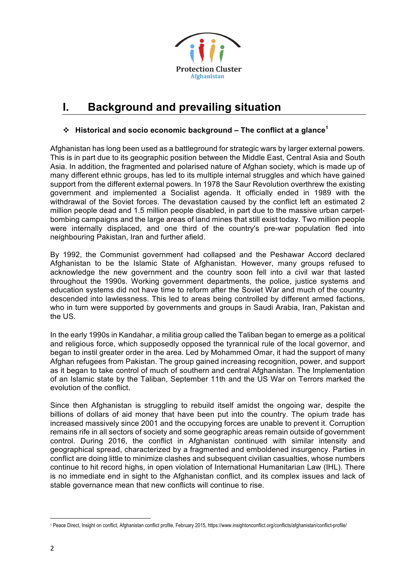

# **I. Background and prevailing situation**

## v **Historical and socio economic background – The conflict at a glance<sup>1</sup>**

Afghanistan has long been used as a battleground for strategic wars by larger external powers. This is in part due to its geographic position between the Middle East, Central Asia and South Asia. In addition, the fragmented and polarised nature of Afghan society, which is made up of many different ethnic groups, has led to its multiple internal struggles and which have gained support from the different external powers. In 1978 the Saur Revolution overthrew the existing government and implemented a Socialist agenda. It officially ended in 1989 with the withdrawal of the Soviet forces. The devastation caused by the conflict left an estimated 2 million people dead and 1.5 million people disabled, in part due to the massive urban carpetbombing campaigns and the large areas of land mines that still exist today. Two million people were internally displaced, and one third of the country's pre-war population fled into neighbouring Pakistan, Iran and further afield.

By 1992, the Communist government had collapsed and the Peshawar Accord declared Afghanistan to be the Islamic State of Afghanistan. However, many groups refused to acknowledge the new government and the country soon fell into a civil war that lasted throughout the 1990s. Working government departments, the police, justice systems and education systems did not have time to reform after the Soviet War and much of the country descended into lawlessness. This led to areas being controlled by different armed factions, who in turn were supported by governments and groups in Saudi Arabia, Iran, Pakistan and the US.

In the early 1990s in Kandahar, a militia group called the Taliban began to emerge as a political and religious force, which supposedly opposed the tyrannical rule of the local governor, and began to instil greater order in the area. Led by Mohammed Omar, it had the support of many Afghan refugees from Pakistan. The group gained increasing recognition, power, and support as it began to take control of much of southern and central Afghanistan. The Implementation of an Islamic state by the Taliban, September 11th and the US War on Terrors marked the evolution of the conflict.

Since then Afghanistan is struggling to rebuild itself amidst the ongoing war, despite the billions of dollars of aid money that have been put into the country. The opium trade has increased massively since 2001 and the occupying forces are unable to prevent it. Corruption remains rife in all sectors of society and some geographic areas remain outside of government control. During 2016, the conflict in Afghanistan continued with similar intensity and geographical spread, characterized by a fragmented and emboldened insurgency. Parties in conflict are doing little to minimize clashes and subsequent civilian casualties, whose numbers continue to hit record highs, in open violation of International Humanitarian Law (IHL). There is no immediate end in sight to the Afghanistan conflict, and its complex issues and lack of stable governance mean that new conflicts will continue to rise.

<sup>&</sup>lt;u> 1989 - Johann Barn, mars ann an t-Amhain an t-Amhain an t-Amhain an t-Amhain an t-Amhain an t-Amhain an t-Amh</u> <sup>1</sup> Peace Direct, Insight on conflict, Afghanistan conflict profile, February 2015, https://www.insightonconflict.org/conflicts/afghanistan/conflict-profile/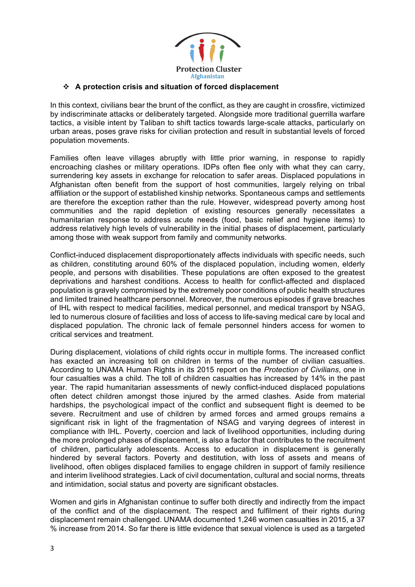

#### v **A protection crisis and situation of forced displacement**

In this context, civilians bear the brunt of the conflict, as they are caught in crossfire, victimized by indiscriminate attacks or deliberately targeted. Alongside more traditional guerrilla warfare tactics, a visible intent by Taliban to shift tactics towards large-scale attacks, particularly on urban areas, poses grave risks for civilian protection and result in substantial levels of forced population movements.

Families often leave villages abruptly with little prior warning, in response to rapidly encroaching clashes or military operations. IDPs often flee only with what they can carry, surrendering key assets in exchange for relocation to safer areas. Displaced populations in Afghanistan often benefit from the support of host communities, largely relying on tribal affiliation or the support of established kinship networks. Spontaneous camps and settlements are therefore the exception rather than the rule. However, widespread poverty among host communities and the rapid depletion of existing resources generally necessitates a humanitarian response to address acute needs (food, basic relief and hygiene items) to address relatively high levels of vulnerability in the initial phases of displacement, particularly among those with weak support from family and community networks.

Conflict-induced displacement disproportionately affects individuals with specific needs, such as children, constituting around 60% of the displaced population, including women, elderly people, and persons with disabilities. These populations are often exposed to the greatest deprivations and harshest conditions. Access to health for conflict-affected and displaced population is gravely compromised by the extremely poor conditions of public health structures and limited trained healthcare personnel. Moreover, the numerous episodes if grave breaches of IHL with respect to medical facilities, medical personnel, and medical transport by NSAG, led to numerous closure of facilities and loss of access to life-saving medical care by local and displaced population. The chronic lack of female personnel hinders access for women to critical services and treatment.

During displacement, violations of child rights occur in multiple forms. The increased conflict has exacted an increasing toll on children in terms of the number of civilian casualties. According to UNAMA Human Rights in its 2015 report on the *Protection of Civilians*, one in four casualties was a child. The toll of children casualties has increased by 14% in the past year. The rapid humanitarian assessments of newly conflict-induced displaced populations often detect children amongst those injured by the armed clashes. Aside from material hardships, the psychological impact of the conflict and subsequent flight is deemed to be severe. Recruitment and use of children by armed forces and armed groups remains a significant risk in light of the fragmentation of NSAG and varying degrees of interest in compliance with IHL. Poverty, coercion and lack of livelihood opportunities, including during the more prolonged phases of displacement, is also a factor that contributes to the recruitment of children, particularly adolescents. Access to education in displacement is generally hindered by several factors. Poverty and destitution, with loss of assets and means of livelihood, often obliges displaced families to engage children in support of family resilience and interim livelihood strategies. Lack of civil documentation, cultural and social norms, threats and intimidation, social status and poverty are significant obstacles.

Women and girls in Afghanistan continue to suffer both directly and indirectly from the impact of the conflict and of the displacement. The respect and fulfilment of their rights during displacement remain challenged. UNAMA documented 1,246 women casualties in 2015, a 37 % increase from 2014. So far there is little evidence that sexual violence is used as a targeted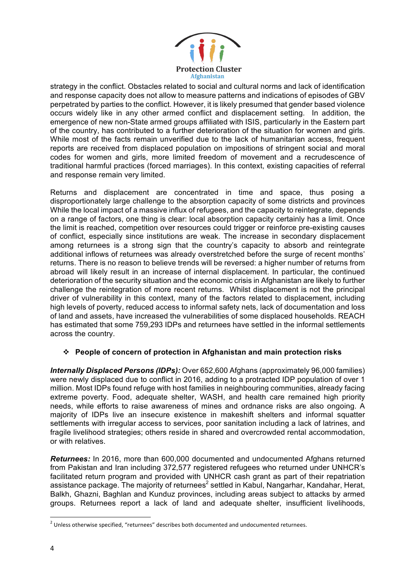

strategy in the conflict. Obstacles related to social and cultural norms and lack of identification and response capacity does not allow to measure patterns and indications of episodes of GBV perpetrated by parties to the conflict. However, it is likely presumed that gender based violence occurs widely like in any other armed conflict and displacement setting. In addition, the emergence of new non-State armed groups affiliated with ISIS, particularly in the Eastern part of the country, has contributed to a further deterioration of the situation for women and girls. While most of the facts remain unverified due to the lack of humanitarian access, frequent reports are received from displaced population on impositions of stringent social and moral codes for women and girls, more limited freedom of movement and a recrudescence of traditional harmful practices (forced marriages). In this context, existing capacities of referral and response remain very limited.

Returns and displacement are concentrated in time and space, thus posing a disproportionately large challenge to the absorption capacity of some districts and provinces While the local impact of a massive influx of refugees, and the capacity to reintegrate, depends on a range of factors, one thing is clear: local absorption capacity certainly has a limit. Once the limit is reached, competition over resources could trigger or reinforce pre-existing causes of conflict, especially since institutions are weak. The increase in secondary displacement among returnees is a strong sign that the country's capacity to absorb and reintegrate additional inflows of returnees was already overstretched before the surge of recent months' returns. There is no reason to believe trends will be reversed: a higher number of returns from abroad will likely result in an increase of internal displacement. In particular, the continued deterioration of the security situation and the economic crisis in Afghanistan are likely to further challenge the reintegration of more recent returns. Whilst displacement is not the principal driver of vulnerability in this context, many of the factors related to displacement, including high levels of poverty, reduced access to informal safety nets, lack of documentation and loss of land and assets, have increased the vulnerabilities of some displaced households. REACH has estimated that some 759,293 IDPs and returnees have settled in the informal settlements across the country.

### v **People of concern of protection in Afghanistan and main protection risks**

*Internally Displaced Persons (IDPs):* Over 652,600 Afghans (approximately 96,000 families) were newly displaced due to conflict in 2016, adding to a protracted IDP population of over 1 million. Most IDPs found refuge with host families in neighbouring communities, already facing extreme poverty. Food, adequate shelter, WASH, and health care remained high priority needs, while efforts to raise awareness of mines and ordnance risks are also ongoing. A majority of IDPs live an insecure existence in makeshift shelters and informal squatter settlements with irregular access to services, poor sanitation including a lack of latrines, and fragile livelihood strategies; others reside in shared and overcrowded rental accommodation, or with relatives.

*Returnees:* In 2016, more than 600,000 documented and undocumented Afghans returned from Pakistan and Iran including 372,577 registered refugees who returned under UNHCR's facilitated return program and provided with UNHCR cash grant as part of their repatriation assistance package. The majority of returnees<sup>2</sup> settled in Kabul, Nangarhar, Kandahar, Herat, Balkh, Ghazni, Baghlan and Kunduz provinces, including areas subject to attacks by armed groups. Returnees report a lack of land and adequate shelter, insufficient livelihoods,

 $2$  Unless otherwise specified, "returnees" describes both documented and undocumented returnees.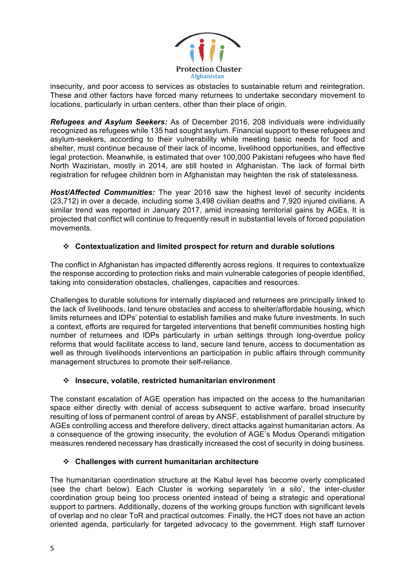

insecurity, and poor access to services as obstacles to sustainable return and reintegration. These and other factors have forced many returnees to undertake secondary movement to locations, particularly in urban centers, other than their place of origin.

*Refugees and Asylum Seekers:* As of December 2016, 208 individuals were individually recognized as refugees while 135 had sought asylum. Financial support to these refugees and asylum-seekers, according to their vulnerability while meeting basic needs for food and shelter, must continue because of their lack of income, livelihood opportunities, and effective legal protection. Meanwhile, is estimated that over 100,000 Pakistani refugees who have fled North Waziristan, mostly in 2014, are still hosted in Afghanistan. The lack of formal birth registration for refugee children born in Afghanistan may heighten the risk of statelessness.

*Host/Affected Communities:* The year 2016 saw the highest level of security incidents (23,712) in over a decade, including some 3,498 civilian deaths and 7,920 injured civilians. A similar trend was reported in January 2017, amid increasing territorial gains by AGEs. It is projected that conflict will continue to frequently result in substantial levels of forced population movements.

## v **Contextualization and limited prospect for return and durable solutions**

The conflict in Afghanistan has impacted differently across regions. It requires to contextualize the response according to protection risks and main vulnerable categories of people identified, taking into consideration obstacles, challenges, capacities and resources.

Challenges to durable solutions for internally displaced and returnees are principally linked to the lack of livelihoods, land tenure obstacles and access to shelter/affordable housing, which limits returnees and IDPs' potential to establish families and make future investments. In such a context, efforts are required for targeted interventions that benefit communities hosting high number of returnees and IDPs particularly in urban settings through long-overdue policy reforms that would facilitate access to land, secure land tenure, access to documentation as well as through livelihoods interventions an participation in public affairs through community management structures to promote their self-reliance.

### v **Insecure, volatile, restricted humanitarian environment**

The constant escalation of AGE operation has impacted on the access to the humanitarian space either directly with denial of access subsequent to active warfare, broad insecurity resulting of loss of permanent control of areas by ANSF, establishment of parallel structure by AGEs controlling access and therefore delivery, direct attacks against humanitarian actors. As a consequence of the growing insecurity, the evolution of AGE's Modus Operandi mitigation measures rendered necessary has drastically increased the cost of security in doing business.

## v **Challenges with current humanitarian architecture**

The humanitarian coordination structure at the Kabul level has become overly complicated (see the chart below). Each Cluster is working separately 'in a silo', the inter-cluster coordination group being too process oriented instead of being a strategic and operational support to partners. Additionally, dozens of the working groups function with significant levels of overlap and no clear ToR and practical outcomes. Finally, the HCT does not have an action oriented agenda, particularly for targeted advocacy to the government. High staff turnover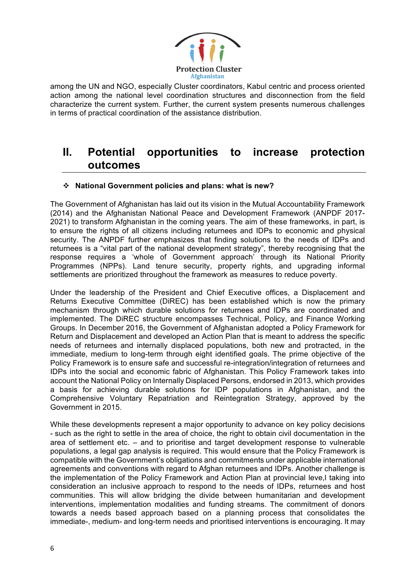

among the UN and NGO, especially Cluster coordinators, Kabul centric and process oriented action among the national level coordination structures and disconnection from the field characterize the current system. Further, the current system presents numerous challenges in terms of practical coordination of the assistance distribution.

## **II. Potential opportunities to increase protection outcomes**

## v **National Government policies and plans: what is new?**

The Government of Afghanistan has laid out its vision in the Mutual Accountability Framework (2014) and the Afghanistan National Peace and Development Framework (ANPDF 2017- 2021) to transform Afghanistan in the coming years. The aim of these frameworks, in part, is to ensure the rights of all citizens including returnees and IDPs to economic and physical security. The ANPDF further emphasizes that finding solutions to the needs of IDPs and returnees is a "vital part of the national development strategy", thereby recognising that the response requires a 'whole of Government approach' through its National Priority Programmes (NPPs). Land tenure security, property rights, and upgrading informal settlements are prioritized throughout the framework as measures to reduce poverty.

Under the leadership of the President and Chief Executive offices, a Displacement and Returns Executive Committee (DiREC) has been established which is now the primary mechanism through which durable solutions for returnees and IDPs are coordinated and implemented. The DiREC structure encompasses Technical, Policy, and Finance Working Groups. In December 2016, the Government of Afghanistan adopted a Policy Framework for Return and Displacement and developed an Action Plan that is meant to address the specific needs of returnees and internally displaced populations, both new and protracted, in the immediate, medium to long-term through eight identified goals. The prime objective of the Policy Framework is to ensure safe and successful re-integration/integration of returnees and IDPs into the social and economic fabric of Afghanistan. This Policy Framework takes into account the National Policy on Internally Displaced Persons, endorsed in 2013, which provides a basis for achieving durable solutions for IDP populations in Afghanistan, and the Comprehensive Voluntary Repatriation and Reintegration Strategy, approved by the Government in 2015.

While these developments represent a major opportunity to advance on key policy decisions - such as the right to settle in the area of choice, the right to obtain civil documentation in the area of settlement etc. – and to prioritise and target development response to vulnerable populations, a legal gap analysis is required. This would ensure that the Policy Framework is compatible with the Government's obligations and commitments under applicable international agreements and conventions with regard to Afghan returnees and IDPs. Another challenge is the implementation of the Policy Framework and Action Plan at provincial leve,l taking into consideration an inclusive approach to respond to the needs of IDPs, returnees and host communities. This will allow bridging the divide between humanitarian and development interventions, implementation modalities and funding streams. The commitment of donors towards a needs based approach based on a planning process that consolidates the immediate-, medium- and long-term needs and prioritised interventions is encouraging. It may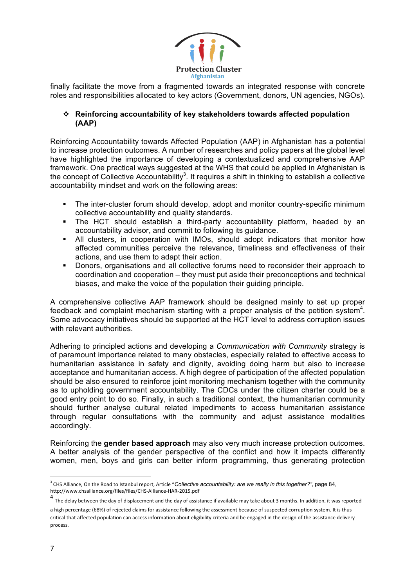

finally facilitate the move from a fragmented towards an integrated response with concrete roles and responsibilities allocated to key actors (Government, donors, UN agencies, NGOs).

## v **Reinforcing accountability of key stakeholders towards affected population (AAP)**

Reinforcing Accountability towards Affected Population (AAP) in Afghanistan has a potential to increase protection outcomes. A number of researches and policy papers at the global level have highlighted the importance of developing a contextualized and comprehensive AAP framework. One practical ways suggested at the WHS that could be applied in Afghanistan is the concept of Collective Accountability<sup>3</sup>. It requires a shift in thinking to establish a collective accountability mindset and work on the following areas:

- The inter-cluster forum should develop, adopt and monitor country-specific minimum collective accountability and quality standards.
- § The HCT should establish a third-party accountability platform, headed by an accountability advisor, and commit to following its guidance.
- § All clusters, in cooperation with IMOs, should adopt indicators that monitor how affected communities perceive the relevance, timeliness and effectiveness of their actions, and use them to adapt their action.
- § Donors, organisations and all collective forums need to reconsider their approach to coordination and cooperation – they must put aside their preconceptions and technical biases, and make the voice of the population their guiding principle.

A comprehensive collective AAP framework should be designed mainly to set up proper feedback and complaint mechanism starting with a proper analysis of the petition system<sup>4</sup>. Some advocacy initiatives should be supported at the HCT level to address corruption issues with relevant authorities.

Adhering to principled actions and developing a *Communication with Community* strategy is of paramount importance related to many obstacles, especially related to effective access to humanitarian assistance in safety and dignity, avoiding doing harm but also to increase acceptance and humanitarian access. A high degree of participation of the affected population should be also ensured to reinforce joint monitoring mechanism together with the community as to upholding government accountability. The CDCs under the citizen charter could be a good entry point to do so. Finally, in such a traditional context, the humanitarian community should further analyse cultural related impediments to access humanitarian assistance through regular consultations with the community and adjust assistance modalities accordingly.

Reinforcing the **gender based approach** may also very much increase protection outcomes. A better analysis of the gender perspective of the conflict and how it impacts differently women, men, boys and girls can better inform programming, thus generating protection

 <sup>3</sup> CHS Alliance, On the Road to Istanbul report, Article "Co*llective accountability: are we really in this together?"*, page 84, http://www.chsalliance.org/files/files/CHS-Alliance-HAR-2015.pdf

<sup>4&</sup>lt;br>The delay between the day of displacement and the day of assistance if available may take about 3 months. In addition, it was reported a high percentage (68%) of rejected claims for assistance following the assessment because of suspected corruption system. It is thus critical that affected population can access information about eligibility criteria and be engaged in the design of the assistance delivery process.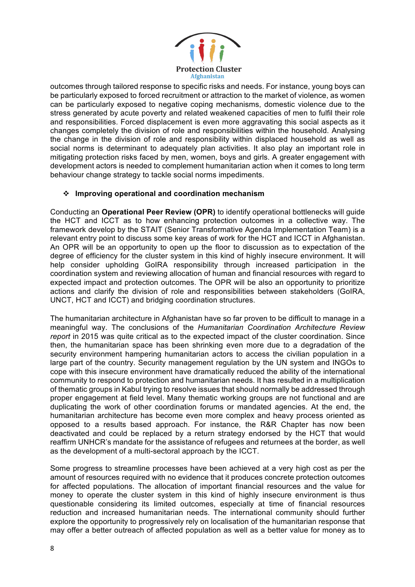

outcomes through tailored response to specific risks and needs. For instance, young boys can be particularly exposed to forced recruitment or attraction to the market of violence, as women can be particularly exposed to negative coping mechanisms, domestic violence due to the stress generated by acute poverty and related weakened capacities of men to fulfil their role and responsibilities. Forced displacement is even more aggravating this social aspects as it changes completely the division of role and responsibilities within the household. Analysing the change in the division of role and responsibility within displaced household as well as social norms is determinant to adequately plan activities. It also play an important role in mitigating protection risks faced by men, women, boys and girls. A greater engagement with development actors is needed to complement humanitarian action when it comes to long term behaviour change strategy to tackle social norms impediments.

### v **Improving operational and coordination mechanism**

Conducting an **Operational Peer Review (OPR)** to identify operational bottlenecks will guide the HCT and ICCT as to how enhancing protection outcomes in a collective way. The framework develop by the STAIT (Senior Transformative Agenda Implementation Team) is a relevant entry point to discuss some key areas of work for the HCT and ICCT in Afghanistan. An OPR will be an opportunity to open up the floor to discussion as to expectation of the degree of efficiency for the cluster system in this kind of highly insecure environment. It will help consider upholding GoIRA responsibility through increased participation in the coordination system and reviewing allocation of human and financial resources with regard to expected impact and protection outcomes. The OPR will be also an opportunity to prioritize actions and clarify the division of role and responsibilities between stakeholders (GoIRA, UNCT, HCT and ICCT) and bridging coordination structures.

The humanitarian architecture in Afghanistan have so far proven to be difficult to manage in a meaningful way. The conclusions of the *Humanitarian Coordination Architecture Review report* in 2015 was quite critical as to the expected impact of the cluster coordination. Since then, the humanitarian space has been shrinking even more due to a degradation of the security environment hampering humanitarian actors to access the civilian population in a large part of the country. Security management regulation by the UN system and INGOs to cope with this insecure environment have dramatically reduced the ability of the international community to respond to protection and humanitarian needs. It has resulted in a multiplication of thematic groups in Kabul trying to resolve issues that should normally be addressed through proper engagement at field level. Many thematic working groups are not functional and are duplicating the work of other coordination forums or mandated agencies. At the end, the humanitarian architecture has become even more complex and heavy process oriented as opposed to a results based approach. For instance, the R&R Chapter has now been deactivated and could be replaced by a return strategy endorsed by the HCT that would reaffirm UNHCR's mandate for the assistance of refugees and returnees at the border, as well as the development of a multi-sectoral approach by the ICCT.

Some progress to streamline processes have been achieved at a very high cost as per the amount of resources required with no evidence that it produces concrete protection outcomes for affected populations. The allocation of important financial resources and the value for money to operate the cluster system in this kind of highly insecure environment is thus questionable considering its limited outcomes, especially at time of financial resources reduction and increased humanitarian needs. The international community should further explore the opportunity to progressively rely on localisation of the humanitarian response that may offer a better outreach of affected population as well as a better value for money as to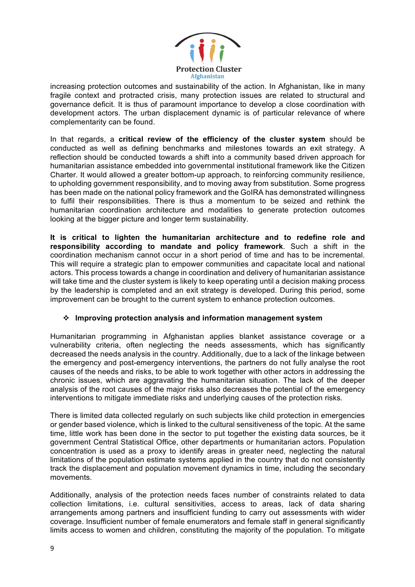

increasing protection outcomes and sustainability of the action. In Afghanistan, like in many fragile context and protracted crisis, many protection issues are related to structural and governance deficit. It is thus of paramount importance to develop a close coordination with development actors. The urban displacement dynamic is of particular relevance of where complementarity can be found.

In that regards, a **critical review of the efficiency of the cluster system** should be conducted as well as defining benchmarks and milestones towards an exit strategy. A reflection should be conducted towards a shift into a community based driven approach for humanitarian assistance embedded into governmental institutional framework like the Citizen Charter. It would allowed a greater bottom-up approach, to reinforcing community resilience, to upholding government responsibility, and to moving away from substitution. Some progress has been made on the national policy framework and the GoIRA has demonstrated willingness to fulfil their responsibilities. There is thus a momentum to be seized and rethink the humanitarian coordination architecture and modalities to generate protection outcomes looking at the bigger picture and longer term sustainability.

**It is critical to lighten the humanitarian architecture and to redefine role and responsibility according to mandate and policy framework**. Such a shift in the coordination mechanism cannot occur in a short period of time and has to be incremental. This will require a strategic plan to empower communities and capacitate local and national actors. This process towards a change in coordination and delivery of humanitarian assistance will take time and the cluster system is likely to keep operating until a decision making process by the leadership is completed and an exit strategy is developed. During this period, some improvement can be brought to the current system to enhance protection outcomes.

### v **Improving protection analysis and information management system**

Humanitarian programming in Afghanistan applies blanket assistance coverage or a vulnerability criteria, often neglecting the needs assessments, which has significantly decreased the needs analysis in the country. Additionally, due to a lack of the linkage between the emergency and post-emergency interventions, the partners do not fully analyse the root causes of the needs and risks, to be able to work together with other actors in addressing the chronic issues, which are aggravating the humanitarian situation. The lack of the deeper analysis of the root causes of the major risks also decreases the potential of the emergency interventions to mitigate immediate risks and underlying causes of the protection risks.

There is limited data collected regularly on such subjects like child protection in emergencies or gender based violence, which is linked to the cultural sensitiveness of the topic. At the same time, little work has been done in the sector to put together the existing data sources, be it government Central Statistical Office, other departments or humanitarian actors. Population concentration is used as a proxy to identify areas in greater need, neglecting the natural limitations of the population estimate systems applied in the country that do not consistently track the displacement and population movement dynamics in time, including the secondary movements.

Additionally, analysis of the protection needs faces number of constraints related to data collection limitations, i.e. cultural sensitivities, access to areas, lack of data sharing arrangements among partners and insufficient funding to carry out assessments with wider coverage. Insufficient number of female enumerators and female staff in general significantly limits access to women and children, constituting the majority of the population. To mitigate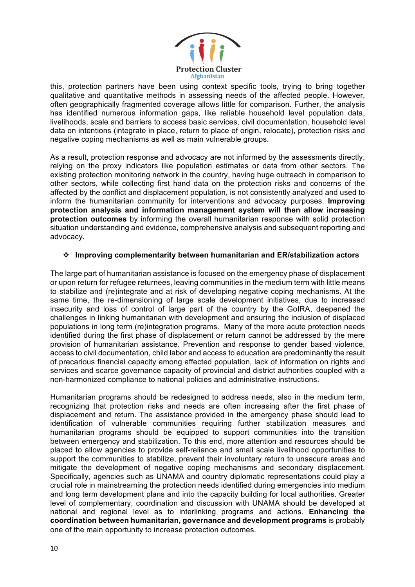

this, protection partners have been using context specific tools, trying to bring together qualitative and quantitative methods in assessing needs of the affected people. However, often geographically fragmented coverage allows little for comparison. Further, the analysis has identified numerous information gaps, like reliable household level population data, livelihoods, scale and barriers to access basic services, civil documentation, household level data on intentions (integrate in place, return to place of origin, relocate), protection risks and negative coping mechanisms as well as main vulnerable groups.

As a result, protection response and advocacy are not informed by the assessments directly, relying on the proxy indicators like population estimates or data from other sectors. The existing protection monitoring network in the country, having huge outreach in comparison to other sectors, while collecting first hand data on the protection risks and concerns of the affected by the conflict and displacement population, is not consistently analyzed and used to inform the humanitarian community for interventions and advocacy purposes. **Improving protection analysis and information management system will then allow increasing protection outcomes** by informing the overall humanitarian response with solid protection situation understanding and evidence, comprehensive analysis and subsequent reporting and advocacy**.** 

### v **Improving complementarity between humanitarian and ER/stabilization actors**

The large part of humanitarian assistance is focused on the emergency phase of displacement or upon return for refugee returnees, leaving communities in the medium term with little means to stabilize and (re)integrate and at risk of developing negative coping mechanisms. At the same time, the re-dimensioning of large scale development initiatives, due to increased insecurity and loss of control of large part of the country by the GoIRA, deepened the challenges in linking humanitarian with development and ensuring the inclusion of displaced populations in long term (re)integration programs. Many of the more acute protection needs identified during the first phase of displacement or return cannot be addressed by the mere provision of humanitarian assistance. Prevention and response to gender based violence, access to civil documentation, child labor and access to education are predominantly the result of precarious financial capacity among affected population, lack of information on rights and services and scarce governance capacity of provincial and district authorities coupled with a non-harmonized compliance to national policies and administrative instructions.

Humanitarian programs should be redesigned to address needs, also in the medium term, recognizing that protection risks and needs are often increasing after the first phase of displacement and return. The assistance provided in the emergency phase should lead to identification of vulnerable communities requiring further stabilization measures and humanitarian programs should be equipped to support communities into the transition between emergency and stabilization. To this end, more attention and resources should be placed to allow agencies to provide self-reliance and small scale livelihood opportunities to support the communities to stabilize, prevent their involuntary return to unsecure areas and mitigate the development of negative coping mechanisms and secondary displacement. Specifically, agencies such as UNAMA and country diplomatic representations could play a crucial role in mainstreaming the protection needs identified during emergencies into medium and long term development plans and into the capacity building for local authorities. Greater level of complementary, coordination and discussion with UNAMA should be developed at national and regional level as to interlinking programs and actions. **Enhancing the coordination between humanitarian, governance and development programs** is probably one of the main opportunity to increase protection outcomes.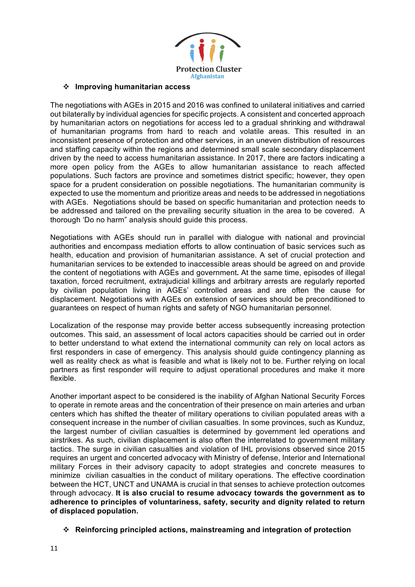

#### v **Improving humanitarian access**

The negotiations with AGEs in 2015 and 2016 was confined to unilateral initiatives and carried out bilaterally by individual agencies for specific projects. A consistent and concerted approach by humanitarian actors on negotiations for access led to a gradual shrinking and withdrawal of humanitarian programs from hard to reach and volatile areas. This resulted in an inconsistent presence of protection and other services, in an uneven distribution of resources and staffing capacity within the regions and determined small scale secondary displacement driven by the need to access humanitarian assistance. In 2017, there are factors indicating a more open policy from the AGEs to allow humanitarian assistance to reach affected populations. Such factors are province and sometimes district specific; however, they open space for a prudent consideration on possible negotiations. The humanitarian community is expected to use the momentum and prioritize areas and needs to be addressed in negotiations with AGEs. Negotiations should be based on specific humanitarian and protection needs to be addressed and tailored on the prevailing security situation in the area to be covered. A thorough 'Do no harm" analysis should guide this process.

Negotiations with AGEs should run in parallel with dialogue with national and provincial authorities and encompass mediation efforts to allow continuation of basic services such as health, education and provision of humanitarian assistance. A set of crucial protection and humanitarian services to be extended to inaccessible areas should be agreed on and provide the content of negotiations with AGEs and government**.** At the same time, episodes of illegal taxation, forced recruitment, extrajudicial killings and arbitrary arrests are regularly reported by civilian population living in AGEs' controlled areas and are often the cause for displacement. Negotiations with AGEs on extension of services should be preconditioned to guarantees on respect of human rights and safety of NGO humanitarian personnel.

Localization of the response may provide better access subsequently increasing protection outcomes. This said, an assessment of local actors capacities should be carried out in order to better understand to what extend the international community can rely on local actors as first responders in case of emergency. This analysis should guide contingency planning as well as reality check as what is feasible and what is likely not to be. Further relying on local partners as first responder will require to adjust operational procedures and make it more flexible.

Another important aspect to be considered is the inability of Afghan National Security Forces to operate in remote areas and the concentration of their presence on main arteries and urban centers which has shifted the theater of military operations to civilian populated areas with a consequent increase in the number of civilian casualties. In some provinces, such as Kunduz, the largest number of civilian casualties is determined by government led operations and airstrikes. As such, civilian displacement is also often the interrelated to government military tactics. The surge in civilian casualties and violation of IHL provisions observed since 2015 requires an urgent and concerted advocacy with Ministry of defense, Interior and International military Forces in their advisory capacity to adopt strategies and concrete measures to minimize civilian casualties in the conduct of military operations. The effective coordination between the HCT, UNCT and UNAMA is crucial in that senses to achieve protection outcomes through advocacy. **It is also crucial to resume advocacy towards the government as to adherence to principles of voluntariness, safety, security and dignity related to return of displaced population.**

v **Reinforcing principled actions, mainstreaming and integration of protection**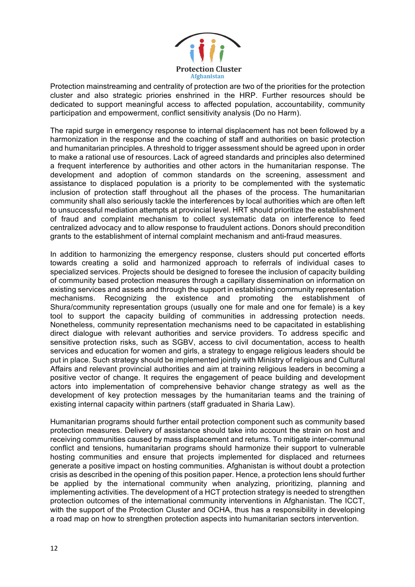

Protection mainstreaming and centrality of protection are two of the priorities for the protection cluster and also strategic priories enshrined in the HRP. Further resources should be dedicated to support meaningful access to affected population, accountability, community participation and empowerment, conflict sensitivity analysis (Do no Harm).

The rapid surge in emergency response to internal displacement has not been followed by a harmonization in the response and the coaching of staff and authorities on basic protection and humanitarian principles. A threshold to trigger assessment should be agreed upon in order to make a rational use of resources. Lack of agreed standards and principles also determined a frequent interference by authorities and other actors in the humanitarian response. The development and adoption of common standards on the screening, assessment and assistance to displaced population is a priority to be complemented with the systematic inclusion of protection staff throughout all the phases of the process. The humanitarian community shall also seriously tackle the interferences by local authorities which are often left to unsuccessful mediation attempts at provincial level. HRT should prioritize the establishment of fraud and complaint mechanism to collect systematic data on interference to feed centralized advocacy and to allow response to fraudulent actions. Donors should precondition grants to the establishment of internal complaint mechanism and anti-fraud measures.

In addition to harmonizing the emergency response, clusters should put concerted efforts towards creating a solid and harmonized approach to referrals of individual cases to specialized services. Projects should be designed to foresee the inclusion of capacity building of community based protection measures through a capillary dissemination on information on existing services and assets and through the support in establishing community representation mechanisms. Recognizing the existence and promoting the establishment of Shura/community representation groups (usually one for male and one for female) is a key tool to support the capacity building of communities in addressing protection needs. Nonetheless, community representation mechanisms need to be capacitated in establishing direct dialogue with relevant authorities and service providers. To address specific and sensitive protection risks, such as SGBV, access to civil documentation, access to health services and education for women and girls, a strategy to engage religious leaders should be put in place. Such strategy should be implemented jointly with Ministry of religious and Cultural Affairs and relevant provincial authorities and aim at training religious leaders in becoming a positive vector of change. It requires the engagement of peace building and development actors into implementation of comprehensive behavior change strategy as well as the development of key protection messages by the humanitarian teams and the training of existing internal capacity within partners (staff graduated in Sharia Law).

Humanitarian programs should further entail protection component such as community based protection measures. Delivery of assistance should take into account the strain on host and receiving communities caused by mass displacement and returns. To mitigate inter-communal conflict and tensions, humanitarian programs should harmonize their support to vulnerable hosting communities and ensure that projects implemented for displaced and returnees generate a positive impact on hosting communities. Afghanistan is without doubt a protection crisis as described in the opening of this position paper. Hence, a protection lens should further be applied by the international community when analyzing, prioritizing, planning and implementing activities. The development of a HCT protection strategy is needed to strengthen protection outcomes of the international community interventions in Afghanistan. The ICCT, with the support of the Protection Cluster and OCHA, thus has a responsibility in developing a road map on how to strengthen protection aspects into humanitarian sectors intervention.